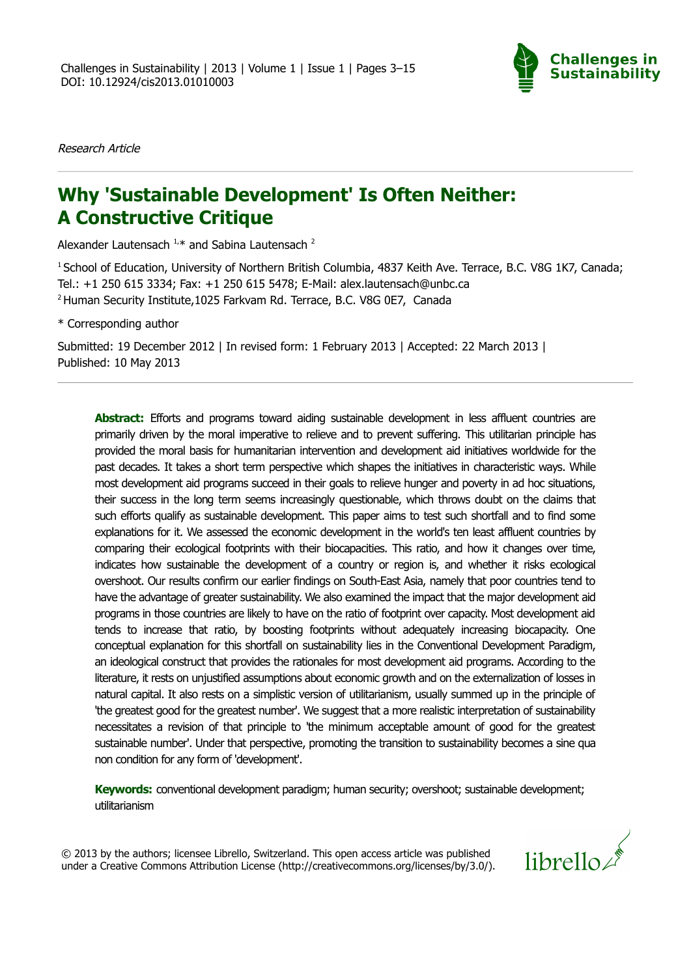

Research Article

# **Why 'Sustainable Development' Is Often Neither: A Constructive Critique**

Alexander Lautensach  $1, *$  and Sabina Lautensach  $2$ 

<sup>1</sup> School of Education, University of Northern British Columbia, 4837 Keith Ave. Terrace, B.C. V8G 1K7, Canada; Tel.: +1 250 615 3334; Fax: +1 250 615 5478; E-Mail: alex.lautensach@unbc.ca 2 Human Security Institute,1025 Farkvam Rd. Terrace, B.C. V8G 0E7, Canada

\* Corresponding author

Submitted: 19 December 2012 | In revised form: 1 February 2013 | Accepted: 22 March 2013 | Published: 10 May 2013

**Abstract:** Efforts and programs toward aiding sustainable development in less affluent countries are primarily driven by the moral imperative to relieve and to prevent suffering. This utilitarian principle has provided the moral basis for humanitarian intervention and development aid initiatives worldwide for the past decades. It takes a short term perspective which shapes the initiatives in characteristic ways. While most development aid programs succeed in their goals to relieve hunger and poverty in ad hoc situations, their success in the long term seems increasingly questionable, which throws doubt on the claims that such efforts qualify as sustainable development. This paper aims to test such shortfall and to find some explanations for it. We assessed the economic development in the world's ten least affluent countries by comparing their ecological footprints with their biocapacities. This ratio, and how it changes over time, indicates how sustainable the development of a country or region is, and whether it risks ecological overshoot. Our results confirm our earlier findings on South-East Asia, namely that poor countries tend to have the advantage of greater sustainability. We also examined the impact that the major development aid programs in those countries are likely to have on the ratio of footprint over capacity. Most development aid tends to increase that ratio, by boosting footprints without adequately increasing biocapacity. One conceptual explanation for this shortfall on sustainability lies in the Conventional Development Paradigm, an ideological construct that provides the rationales for most development aid programs. According to the literature, it rests on unjustified assumptions about economic growth and on the externalization of losses in natural capital. It also rests on a simplistic version of utilitarianism, usually summed up in the principle of 'the greatest good for the greatest number'. We suggest that a more realistic interpretation of sustainability necessitates a revision of that principle to 'the minimum acceptable amount of good for the greatest sustainable number'. Under that perspective, promoting the transition to sustainability becomes a sine qua non condition for any form of 'development'.

**Keywords:** conventional development paradigm; human security; overshoot; sustainable development; utilitarianism

© 2013 by the authors; licensee Librello, Switzerland. This open access article was published under a Creative Commons Attribution License (http://creativecommons.org/licenses/by/3.0/).

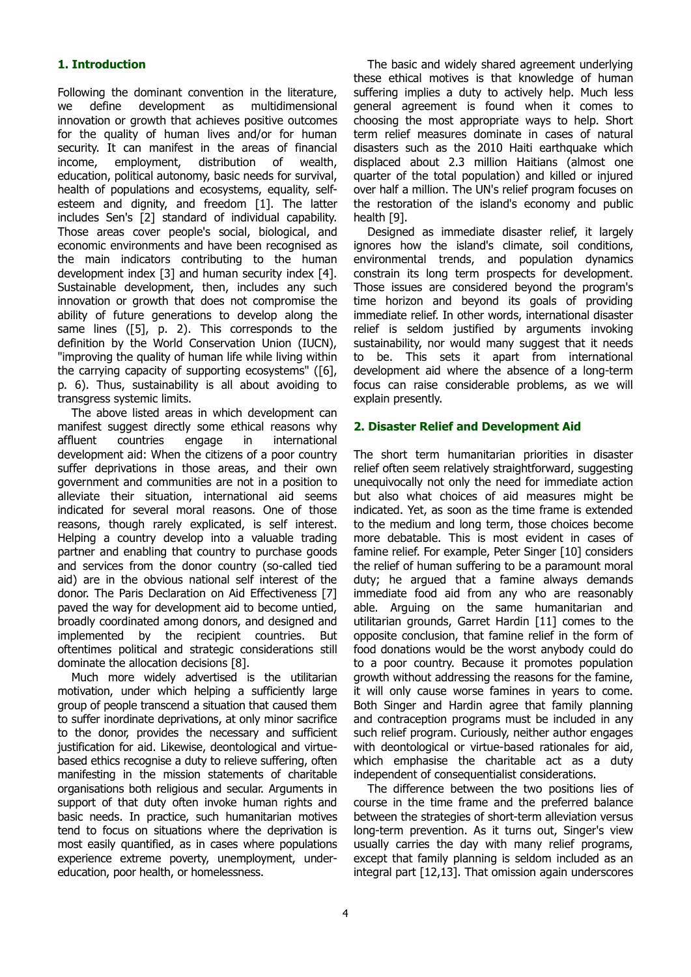# **1. Introduction**

Following the dominant convention in the literature, we define development as multidimensional innovation or growth that achieves positive outcomes for the quality of human lives and/or for human security. It can manifest in the areas of financial income, employment, distribution of wealth, education, political autonomy, basic needs for survival, health of populations and ecosystems, equality, selfesteem and dignity, and freedom [1]. The latter includes Sen's [2] standard of individual capability. Those areas cover people's social, biological, and economic environments and have been recognised as the main indicators contributing to the human development index [3] and human security index [4]. Sustainable development, then, includes any such innovation or growth that does not compromise the ability of future generations to develop along the same lines ([5], p. 2). This corresponds to the definition by the World Conservation Union (IUCN), "improving the quality of human life while living within the carrying capacity of supporting ecosystems" ([6], p. 6). Thus, sustainability is all about avoiding to transgress systemic limits.

The above listed areas in which development can manifest suggest directly some ethical reasons why affluent countries engage in international development aid: When the citizens of a poor country suffer deprivations in those areas, and their own government and communities are not in a position to alleviate their situation, international aid seems indicated for several moral reasons. One of those reasons, though rarely explicated, is self interest. Helping a country develop into a valuable trading partner and enabling that country to purchase goods and services from the donor country (so-called tied aid) are in the obvious national self interest of the donor. The Paris Declaration on Aid Effectiveness [7] paved the way for development aid to become untied, broadly coordinated among donors, and designed and implemented by the recipient countries. But oftentimes political and strategic considerations still dominate the allocation decisions [8].

Much more widely advertised is the utilitarian motivation, under which helping a sufficiently large group of people transcend a situation that caused them to suffer inordinate deprivations, at only minor sacrifice to the donor, provides the necessary and sufficient justification for aid. Likewise, deontological and virtuebased ethics recognise a duty to relieve suffering, often manifesting in the mission statements of charitable organisations both religious and secular. Arguments in support of that duty often invoke human rights and basic needs. In practice, such humanitarian motives tend to focus on situations where the deprivation is most easily quantified, as in cases where populations experience extreme poverty, unemployment, undereducation, poor health, or homelessness.

The basic and widely shared agreement underlying these ethical motives is that knowledge of human suffering implies a duty to actively help. Much less general agreement is found when it comes to choosing the most appropriate ways to help. Short term relief measures dominate in cases of natural disasters such as the 2010 Haiti earthquake which displaced about 2.3 million Haitians (almost one quarter of the total population) and killed or injured over half a million. The UN's relief program focuses on the restoration of the island's economy and public health [9].

Designed as immediate disaster relief, it largely ignores how the island's climate, soil conditions, environmental trends, and population dynamics constrain its long term prospects for development. Those issues are considered beyond the program's time horizon and beyond its goals of providing immediate relief. In other words, international disaster relief is seldom justified by arguments invoking sustainability, nor would many suggest that it needs to be. This sets it apart from international development aid where the absence of a long-term focus can raise considerable problems, as we will explain presently.

## **2. Disaster Relief and Development Aid**

The short term humanitarian priorities in disaster relief often seem relatively straightforward, suggesting unequivocally not only the need for immediate action but also what choices of aid measures might be indicated. Yet, as soon as the time frame is extended to the medium and long term, those choices become more debatable. This is most evident in cases of famine relief. For example, Peter Singer [10] considers the relief of human suffering to be a paramount moral duty; he argued that a famine always demands immediate food aid from any who are reasonably able. Arguing on the same humanitarian and utilitarian grounds, Garret Hardin [11] comes to the opposite conclusion, that famine relief in the form of food donations would be the worst anybody could do to a poor country. Because it promotes population growth without addressing the reasons for the famine, it will only cause worse famines in years to come. Both Singer and Hardin agree that family planning and contraception programs must be included in any such relief program. Curiously, neither author engages with deontological or virtue-based rationales for aid, which emphasise the charitable act as a duty independent of consequentialist considerations.

The difference between the two positions lies of course in the time frame and the preferred balance between the strategies of short-term alleviation versus long-term prevention. As it turns out, Singer's view usually carries the day with many relief programs, except that family planning is seldom included as an integral part [12,13]. That omission again underscores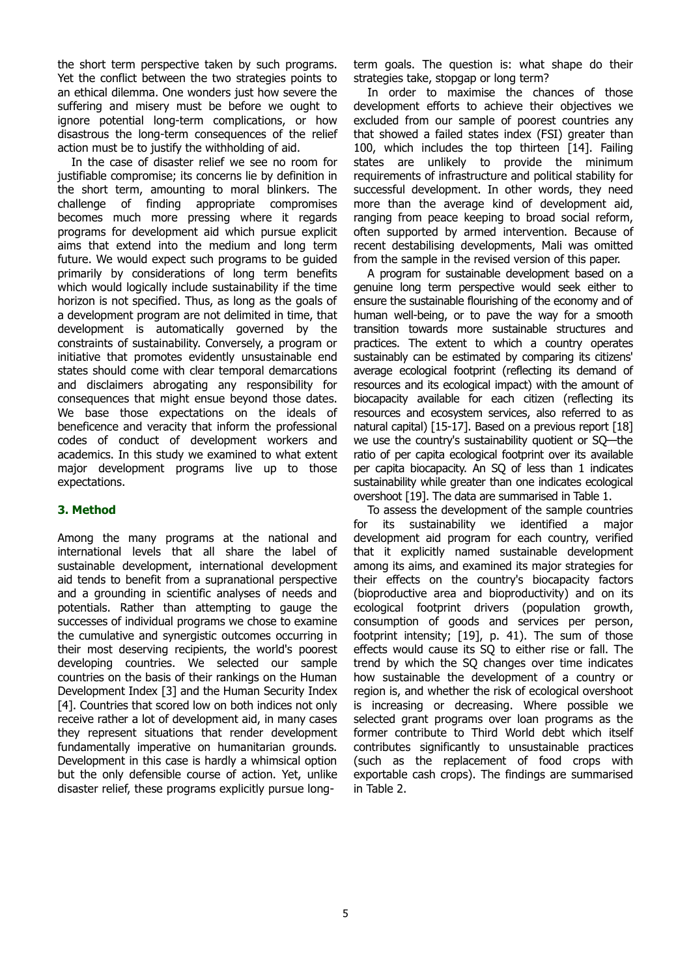the short term perspective taken by such programs. Yet the conflict between the two strategies points to an ethical dilemma. One wonders just how severe the suffering and misery must be before we ought to ignore potential long-term complications, or how disastrous the long-term consequences of the relief action must be to justify the withholding of aid.

In the case of disaster relief we see no room for justifiable compromise; its concerns lie by definition in the short term, amounting to moral blinkers. The challenge of finding appropriate compromises becomes much more pressing where it regards programs for development aid which pursue explicit aims that extend into the medium and long term future. We would expect such programs to be guided primarily by considerations of long term benefits which would logically include sustainability if the time horizon is not specified. Thus, as long as the goals of a development program are not delimited in time, that development is automatically governed by the constraints of sustainability. Conversely, a program or initiative that promotes evidently unsustainable end states should come with clear temporal demarcations and disclaimers abrogating any responsibility for consequences that might ensue beyond those dates. We base those expectations on the ideals of beneficence and veracity that inform the professional codes of conduct of development workers and academics. In this study we examined to what extent major development programs live up to those expectations.

# **3. Method**

Among the many programs at the national and international levels that all share the label of sustainable development, international development aid tends to benefit from a supranational perspective and a grounding in scientific analyses of needs and potentials. Rather than attempting to gauge the successes of individual programs we chose to examine the cumulative and synergistic outcomes occurring in their most deserving recipients, the world's poorest developing countries. We selected our sample countries on the basis of their rankings on the Human Development Index [3] and the Human Security Index [4]. Countries that scored low on both indices not only receive rather a lot of development aid, in many cases they represent situations that render development fundamentally imperative on humanitarian grounds. Development in this case is hardly a whimsical option but the only defensible course of action. Yet, unlike disaster relief, these programs explicitly pursue long-

term goals. The question is: what shape do their strategies take, stopgap or long term?

In order to maximise the chances of those development efforts to achieve their objectives we excluded from our sample of poorest countries any that showed a failed states index (FSI) greater than 100, which includes the top thirteen [14]. Failing states are unlikely to provide the minimum requirements of infrastructure and political stability for successful development. In other words, they need more than the average kind of development aid, ranging from peace keeping to broad social reform, often supported by armed intervention. Because of recent destabilising developments, Mali was omitted from the sample in the revised version of this paper.

A program for sustainable development based on a genuine long term perspective would seek either to ensure the sustainable flourishing of the economy and of human well-being, or to pave the way for a smooth transition towards more sustainable structures and practices. The extent to which a country operates sustainably can be estimated by comparing its citizens' average ecological footprint (reflecting its demand of resources and its ecological impact) with the amount of biocapacity available for each citizen (reflecting its resources and ecosystem services, also referred to as natural capital) [15-17]. Based on a previous report [18] we use the country's sustainability quotient or SQ—the ratio of per capita ecological footprint over its available per capita biocapacity. An SQ of less than 1 indicates sustainability while greater than one indicates ecological overshoot [19]. The data are summarised in Table 1.

To assess the development of the sample countries for its sustainability we identified a major development aid program for each country, verified that it explicitly named sustainable development among its aims, and examined its major strategies for their effects on the country's biocapacity factors (bioproductive area and bioproductivity) and on its ecological footprint drivers (population growth, consumption of goods and services per person, footprint intensity; [19], p. 41). The sum of those effects would cause its SQ to either rise or fall. The trend by which the SQ changes over time indicates how sustainable the development of a country or region is, and whether the risk of ecological overshoot is increasing or decreasing. Where possible we selected grant programs over loan programs as the former contribute to Third World debt which itself contributes significantly to unsustainable practices (such as the replacement of food crops with exportable cash crops). The findings are summarised in Table 2.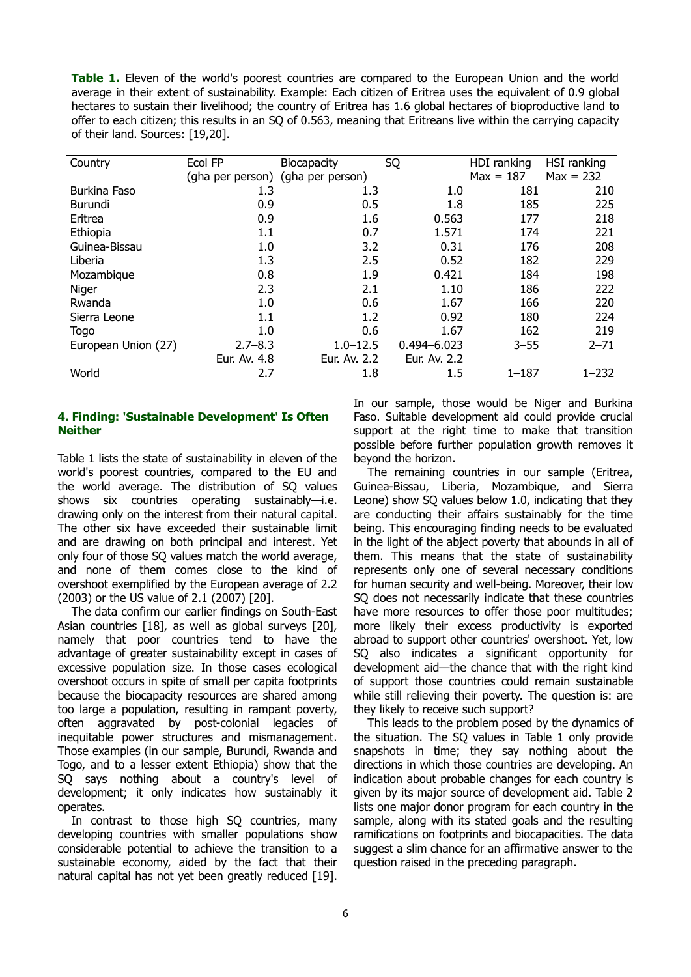**Table 1.** Eleven of the world's poorest countries are compared to the European Union and the world average in their extent of sustainability. Example: Each citizen of Eritrea uses the equivalent of 0.9 global hectares to sustain their livelihood; the country of Eritrea has 1.6 global hectares of bioproductive land to offer to each citizen; this results in an SQ of 0.563, meaning that Eritreans live within the carrying capacity of their land. Sources: [19,20].

| Country             | Ecol FP          | <b>Biocapacity</b> | SQ              | HDI ranking | HSI ranking |
|---------------------|------------------|--------------------|-----------------|-------------|-------------|
|                     | (gha per person) | (gha per person)   |                 | $Max = 187$ | $Max = 232$ |
| Burkina Faso        | 1.3              | 1.3                | 1.0             | 181         | 210         |
| Burundi             | 0.9              | 0.5                | 1.8             | 185         | 225         |
| Eritrea             | 0.9              | 1.6                | 0.563           | 177         | 218         |
| Ethiopia            | 1.1              | 0.7                | 1.571           | 174         | 221         |
| Guinea-Bissau       | 1.0              | 3.2                | 0.31            | 176         | 208         |
| Liberia             | 1.3              | 2.5                | 0.52            | 182         | 229         |
| Mozambique          | 0.8              | 1.9                | 0.421           | 184         | 198         |
| Niger               | 2.3              | 2.1                | 1.10            | 186         | 222         |
| Rwanda              | 1.0              | 0.6                | 1.67            | 166         | 220         |
| Sierra Leone        | 1.1              | 1.2                | 0.92            | 180         | 224         |
| Togo                | 1.0              | 0.6                | 1.67            | 162         | 219         |
| European Union (27) | $2.7 - 8.3$      | $1.0 - 12.5$       | $0.494 - 6.023$ | $3 - 55$    | $2 - 71$    |
|                     | Eur. Av. 4.8     | Eur. Av. 2.2       | Eur. Av. 2.2    |             |             |
| World               | 2.7              | 1.8                | 1.5             | $1 - 187$   | $1 - 232$   |

## **4. Finding: 'Sustainable Development' Is Often Neither**

Table 1 lists the state of sustainability in eleven of the world's poorest countries, compared to the EU and the world average. The distribution of SQ values shows six countries operating sustainably—i.e. drawing only on the interest from their natural capital. The other six have exceeded their sustainable limit and are drawing on both principal and interest. Yet only four of those SQ values match the world average, and none of them comes close to the kind of overshoot exemplified by the European average of 2.2 (2003) or the US value of 2.1 (2007) [20].

The data confirm our earlier findings on South-East Asian countries [18], as well as global surveys [20], namely that poor countries tend to have the advantage of greater sustainability except in cases of excessive population size. In those cases ecological overshoot occurs in spite of small per capita footprints because the biocapacity resources are shared among too large a population, resulting in rampant poverty, often aggravated by post-colonial legacies of inequitable power structures and mismanagement. Those examples (in our sample, Burundi, Rwanda and Togo, and to a lesser extent Ethiopia) show that the SQ says nothing about a country's level of development; it only indicates how sustainably it operates.

In contrast to those high SQ countries, many developing countries with smaller populations show considerable potential to achieve the transition to a sustainable economy, aided by the fact that their natural capital has not yet been greatly reduced [19]. In our sample, those would be Niger and Burkina Faso. Suitable development aid could provide crucial support at the right time to make that transition possible before further population growth removes it beyond the horizon.

The remaining countries in our sample (Eritrea, Guinea-Bissau, Liberia, Mozambique, and Sierra Leone) show SQ values below 1.0, indicating that they are conducting their affairs sustainably for the time being. This encouraging finding needs to be evaluated in the light of the abject poverty that abounds in all of them. This means that the state of sustainability represents only one of several necessary conditions for human security and well-being. Moreover, their low SQ does not necessarily indicate that these countries have more resources to offer those poor multitudes; more likely their excess productivity is exported abroad to support other countries' overshoot. Yet, low SQ also indicates a significant opportunity for development aid—the chance that with the right kind of support those countries could remain sustainable while still relieving their poverty. The question is: are they likely to receive such support?

This leads to the problem posed by the dynamics of the situation. The SQ values in Table 1 only provide snapshots in time; they say nothing about the directions in which those countries are developing. An indication about probable changes for each country is given by its major source of development aid. Table 2 lists one major donor program for each country in the sample, along with its stated goals and the resulting ramifications on footprints and biocapacities. The data suggest a slim chance for an affirmative answer to the question raised in the preceding paragraph.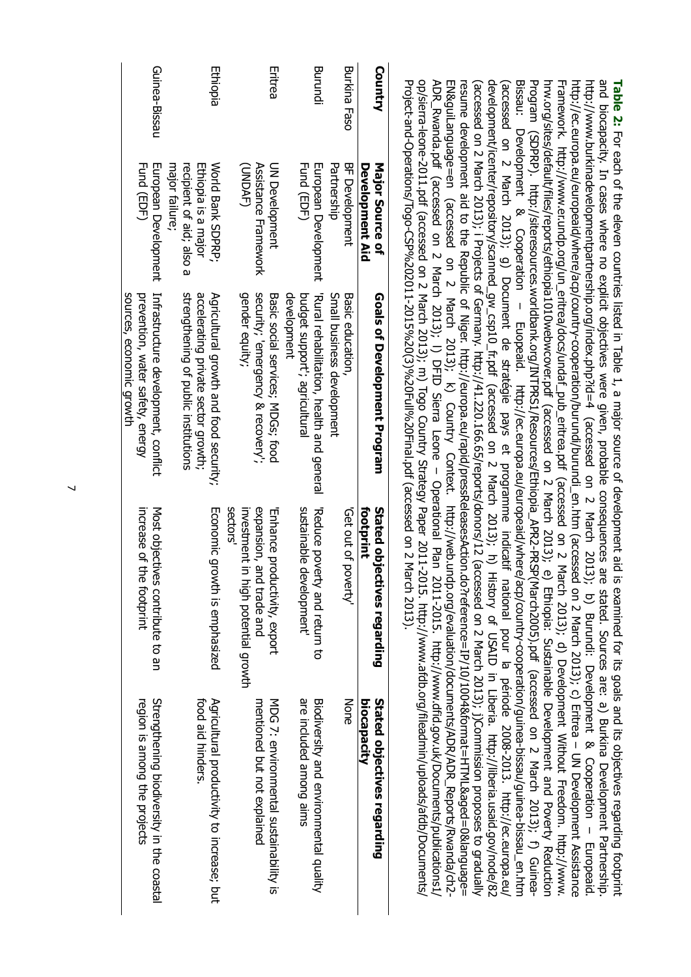| op/sierra-leone-2011.pdf (accessed on 2 March 2011, 2012, http://www.afdp.2011-2011, 2011-2015. http://www.afdb.org/sierra-leone-2011.pdf<br>PDP_RWanda.pdf (accosed ) Z March Z013); i) DFID Sierra Leone – Operational Plan Z011-2015. http://www.dfid.gov.uk/Documents/Dublications11<br>Project-and-Operations/Togo-CSP%202011-2015%20(3)%20(3)%20Final.pdf (accessed on 2 March 2013). | resume development aid to the Republic of Niger. http://europa.eu/rapid/pressReleasesAction.do?reference=IP/10/1004&formatsHTML&aged=0&language=<br>ENSSILIPDOUS DE DESPRISS DE DESPRISSIONS DESPRISSIONS DESPRISSIONS DESPRISSIONS DE DESPRISSIONS DE DESPRISSION | (accessed on 2 March 2013); i Projects of Germany. http://41.220.166.65/reports/donors/12 (accessed on 2 March 2013); j)Commission proposes to gradually | Bissaul Brevelopment & Cooperation/arentical Lubbaid/where/action-scheenid/where/action-contry-cooperation/density-co-sites-bissaul-action-scheen-bissaul-arthrum- | hrv.org/sitex/detary-eport/efflicex/efflopia1010/vebwover.pdf (accossed o n M March Vanch 2013); e) Efflopia: Duiters, From Survey Reduplated Development and Poverty Reduction<br>Program(SDPRP), http://siferesources.worldbank.org/INTPRS1/Resources/Ethiopial_APR2-PRSP(March2005).pdf(accessed on Z March 2013); f) (quinea- | Framework. http://www.er.undp.org/unl_eritrea/docs/undat_pub_eritrea.pdf (accessed on 2 March<br>- 2013); d) Development Without Freedom. http://www. | http://ecea/dendonand/vipead/onner/beneur/bentip/beneur/bentip/cared on 2 March 19107/bentip-constated on 2 March 20107-Conner-sext on 2 March 20107-beneur Assistance | http://www.burkinadevelopmentpartnership.org/index.php?id=4 (accessed on 2 March 2013);<br>p) Burund: Development & Cooperation - Europeaid | and biocapacity. In cases where no explicit objectives were given, probable consequences are<br>Table 2: Equivaling force and its solution is a proposibile to the secondical construction of development and is examination for its goals and in the station condition in the station of development and in the condition of<br>stated. Sources are: a) Burkina Development Partnership. |
|---------------------------------------------------------------------------------------------------------------------------------------------------------------------------------------------------------------------------------------------------------------------------------------------------------------------------------------------------------------------------------------------|--------------------------------------------------------------------------------------------------------------------------------------------------------------------------------------------------------------------------------------------------------------------|----------------------------------------------------------------------------------------------------------------------------------------------------------|--------------------------------------------------------------------------------------------------------------------------------------------------------------------|-----------------------------------------------------------------------------------------------------------------------------------------------------------------------------------------------------------------------------------------------------------------------------------------------------------------------------------|-------------------------------------------------------------------------------------------------------------------------------------------------------|------------------------------------------------------------------------------------------------------------------------------------------------------------------------|---------------------------------------------------------------------------------------------------------------------------------------------|-------------------------------------------------------------------------------------------------------------------------------------------------------------------------------------------------------------------------------------------------------------------------------------------------------------------------------------------------------------------------------------------|
|                                                                                                                                                                                                                                                                                                                                                                                             |                                                                                                                                                                                                                                                                    |                                                                                                                                                          |                                                                                                                                                                    |                                                                                                                                                                                                                                                                                                                                   |                                                                                                                                                       |                                                                                                                                                                        |                                                                                                                                             |                                                                                                                                                                                                                                                                                                                                                                                           |

| Country             | Major Source of<br>Development Aid                                                            | Goals of Development Program                                                                                          | footprint<br>Stated objectives regarding                                                                      | biocapacity<br>Stated objectives regarding                                |
|---------------------|-----------------------------------------------------------------------------------------------|-----------------------------------------------------------------------------------------------------------------------|---------------------------------------------------------------------------------------------------------------|---------------------------------------------------------------------------|
| <b>Burkina Faso</b> | BF Development<br>Partnership                                                                 | Small business development<br>Basic education,                                                                        | Get out of poverty'                                                                                           | None                                                                      |
| Burundi             | <b>Hund (EDF)</b><br>European Development                                                     | "Nural reproblication, pealth and general<br>development<br>budget support'; agricultural                             | Reduce poverty and return to<br>sustainable development'                                                      | are included among aims<br>Biodiversity and environmental quality         |
| Eritrea             | (JNDAF)<br>Assistance Framework<br>UN Development                                             | gender equity;<br>security; emergency & recovery;<br>Basic social services; MDGs; food                                | sectors<br>expansion, and<br>investment in high potential growth<br>Enhance productivity, export<br>trade and | mentioned but not explained<br>NDG 7: environmental scatainability is     |
| Ethiopia            | Ethiopia is a major<br><b>Norid Bank SDPRP:</b><br>major failure;<br>recipient of aid; also a | strengthening of public institutions<br>accelerating private sector growth;<br>Agricultural growth and food security; | Economic growth is emphasized                                                                                 | Agricultural productivity to increase; but<br>food aid hinders.           |
| Guinea-Bissau       | Fund (EDF)<br>European Development                                                            | Infrastructure development, conflict<br>sources, economic growth<br>prevention, water safety, energy                  | increase of the<br>Most objectives contribute to an<br>footprint                                              | Strengthening biodiversity in the coastal<br>region is among the projects |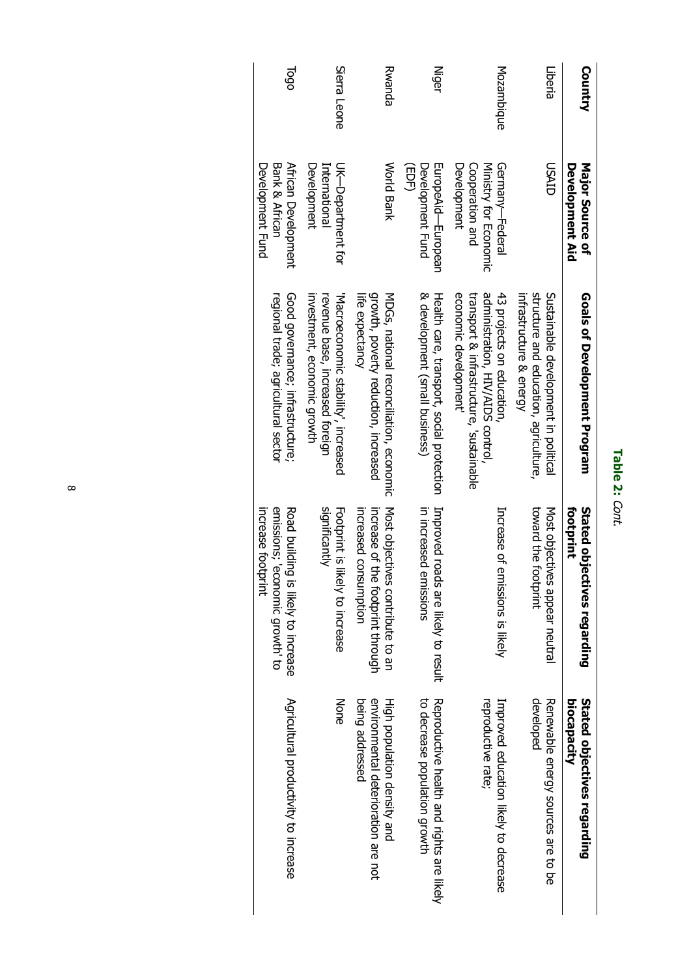| ٥<br>۰ |
|--------|
|        |
| í      |

| <b>Country</b> | Major Source of<br>Development Aid                                         | Goals of Development Program                                                                                                       | tootprint<br>Stated objectives regarding                                                              | Stated objectives regarding<br>biocapacity                                            |
|----------------|----------------------------------------------------------------------------|------------------------------------------------------------------------------------------------------------------------------------|-------------------------------------------------------------------------------------------------------|---------------------------------------------------------------------------------------|
| Liberia        | USAID                                                                      | structure and education, agriculture,<br>Sustainable development in political<br>infrastructure & energy                           | toward the footprint<br>Most objectives appear neutral                                                | developed<br>Renewable energy sources are to be                                       |
| Mozambique     | Germany-Federal<br>Cooperation and<br>Ministry for Economic<br>Development | economic development<br>administration, HIV/AIDS control,<br>transport & infrastructure, 'sustainable<br>43 projects on education, | Increase of emissions is likely                                                                       | reproductive rate;<br>Intractor ductation likely to decease                           |
| <b>Niger</b>   | muropeAid—muropean<br>Development Fund<br>(EDF)                            | & development (small business)<br>Health care, transport, social protection                                                        | Improved roads are likely to result<br>in increased el<br>missions                                    | Reproductive health and rights are likely<br>to decrease population growth            |
| Rwanda         | <b>World Bank</b>                                                          | growth, poverty reduction, increased<br>life expectancy<br>MDGs, national reconciliation, economic                                 | increased consumption<br>increase of the topint through<br>Most objectives contriprite to an          | being addressed<br>environnental deterioration are not<br>High population density and |
| Sierra Leone   | UK-Department for<br>Development<br>International                          | investment, economic growth<br>revenue base, increased foreign<br>Macroeconomic stability', increased                              | Footprint is likely to increase<br>significantly                                                      | <b>None</b>                                                                           |
| 1000           | African Development<br>Bank & African<br>Development Fund                  | Good governance; infrastructure;<br>regional trade; agricultural sector                                                            | emissions; economic growth' to<br>increase footprint<br><b>Road building</b><br>is likely to increase | Agricultural productivity to increase                                                 |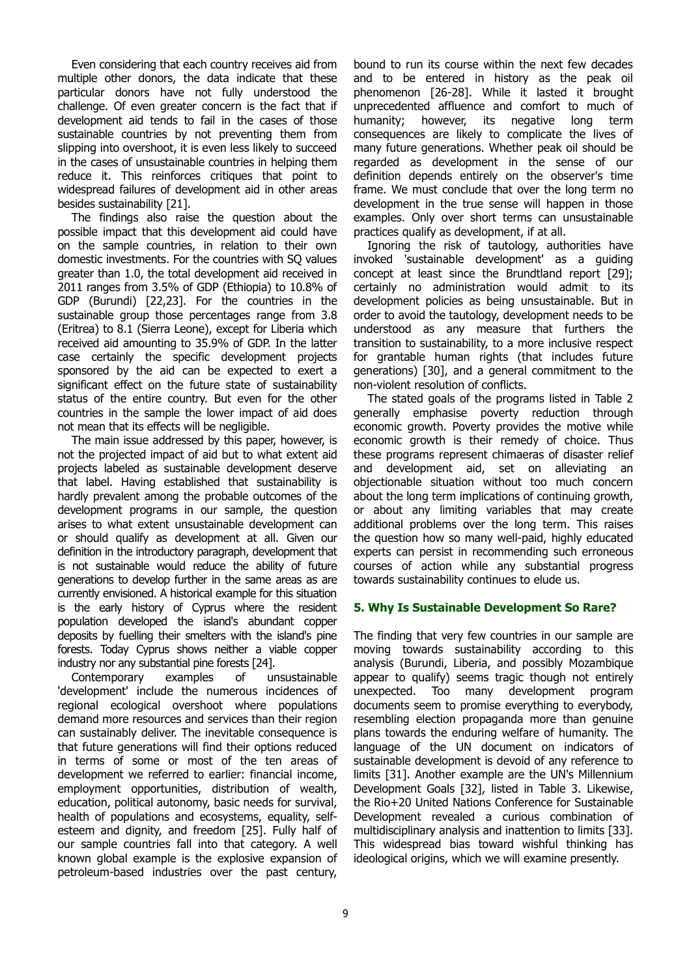Even considering that each country receives aid from multiple other donors, the data indicate that these particular donors have not fully understood the challenge. Of even greater concern is the fact that if development aid tends to fail in the cases of those sustainable countries by not preventing them from slipping into overshoot, it is even less likely to succeed in the cases of unsustainable countries in helping them reduce it. This reinforces critiques that point to widespread failures of development aid in other areas besides sustainability [21].

The findings also raise the question about the possible impact that this development aid could have on the sample countries, in relation to their own domestic investments. For the countries with SQ values greater than 1.0, the total development aid received in 2011 ranges from 3.5% of GDP (Ethiopia) to 10.8% of GDP (Burundi) [22,23]. For the countries in the sustainable group those percentages range from 3.8 (Eritrea) to 8.1 (Sierra Leone), except for Liberia which received aid amounting to 35.9% of GDP. In the latter case certainly the specific development projects sponsored by the aid can be expected to exert a significant effect on the future state of sustainability status of the entire country. But even for the other countries in the sample the lower impact of aid does not mean that its effects will be negligible.

The main issue addressed by this paper, however, is not the projected impact of aid but to what extent aid projects labeled as sustainable development deserve that label. Having established that sustainability is hardly prevalent among the probable outcomes of the development programs in our sample, the question arises to what extent unsustainable development can or should qualify as development at all. Given our definition in the introductory paragraph, development that is not sustainable would reduce the ability of future generations to develop further in the same areas as are currently envisioned. A historical example for this situation is the early history of Cyprus where the resident population developed the island's abundant copper deposits by fuelling their smelters with the island's pine forests. Today Cyprus shows neither a viable copper industry nor any substantial pine forests [24].

Contemporary examples of unsustainable 'development' include the numerous incidences of regional ecological overshoot where populations demand more resources and services than their region can sustainably deliver. The inevitable consequence is that future generations will find their options reduced in terms of some or most of the ten areas of development we referred to earlier: financial income, employment opportunities, distribution of wealth, education, political autonomy, basic needs for survival, health of populations and ecosystems, equality, selfesteem and dignity, and freedom [25]. Fully half of our sample countries fall into that category. A well known global example is the explosive expansion of petroleum-based industries over the past century,

bound to run its course within the next few decades and to be entered in history as the peak oil phenomenon [26-28]. While it lasted it brought unprecedented affluence and comfort to much of humanity; however, its negative long term consequences are likely to complicate the lives of many future generations. Whether peak oil should be regarded as development in the sense of our definition depends entirely on the observer's time frame. We must conclude that over the long term no development in the true sense will happen in those examples. Only over short terms can unsustainable practices qualify as development, if at all.

Ignoring the risk of tautology, authorities have invoked 'sustainable development' as a guiding concept at least since the Brundtland report [29]; certainly no administration would admit to its development policies as being unsustainable. But in order to avoid the tautology, development needs to be understood as any measure that furthers the transition to sustainability, to a more inclusive respect for grantable human rights (that includes future generations) [30], and a general commitment to the non-violent resolution of conflicts.

The stated goals of the programs listed in Table 2 generally emphasise poverty reduction through economic growth. Poverty provides the motive while economic growth is their remedy of choice. Thus these programs represent chimaeras of disaster relief and development aid, set on alleviating an objectionable situation without too much concern about the long term implications of continuing growth, or about any limiting variables that may create additional problems over the long term. This raises the question how so many well-paid, highly educated experts can persist in recommending such erroneous courses of action while any substantial progress towards sustainability continues to elude us.

## **5. Why Is Sustainable Development So Rare?**

The finding that very few countries in our sample are moving towards sustainability according to this analysis (Burundi, Liberia, and possibly Mozambique appear to qualify) seems tragic though not entirely unexpected. Too many development program documents seem to promise everything to everybody, resembling election propaganda more than genuine plans towards the enduring welfare of humanity. The language of the UN document on indicators of sustainable development is devoid of any reference to limits [31]. Another example are the UN's Millennium Development Goals [32], listed in Table 3. Likewise, the Rio+20 United Nations Conference for Sustainable Development revealed a curious combination of multidisciplinary analysis and inattention to limits [33]. This widespread bias toward wishful thinking has ideological origins, which we will examine presently.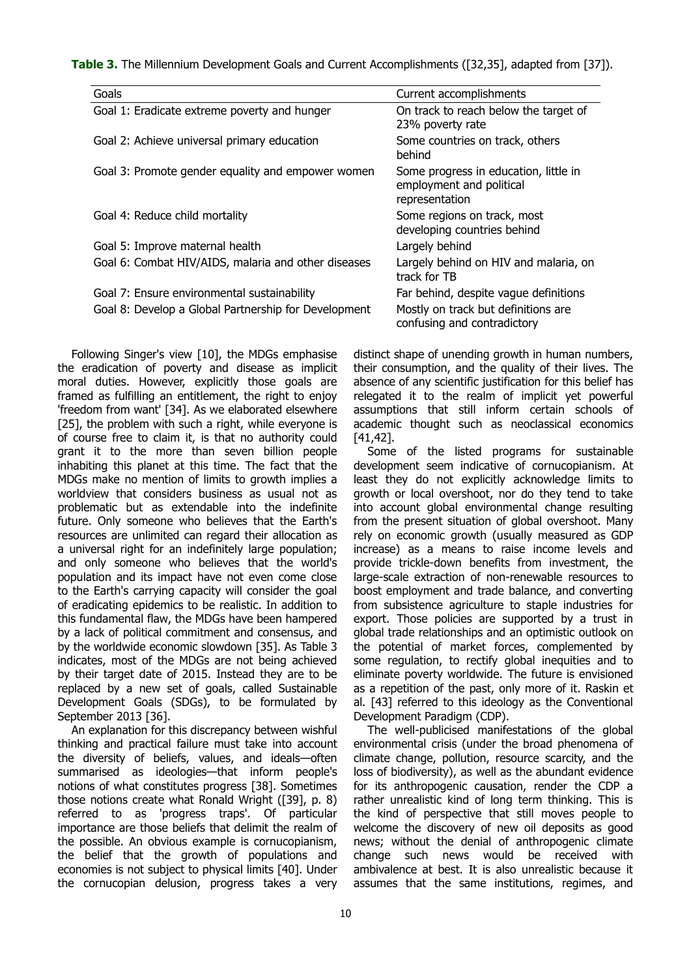**Table 3.** The Millennium Development Goals and Current Accomplishments ([32,35], adapted from [37]).

| Goals                                                | Current accomplishments                                                             |
|------------------------------------------------------|-------------------------------------------------------------------------------------|
| Goal 1: Eradicate extreme poverty and hunger         | On track to reach below the target of<br>23% poverty rate                           |
| Goal 2: Achieve universal primary education          | Some countries on track, others<br>behind                                           |
| Goal 3: Promote gender equality and empower women    | Some progress in education, little in<br>employment and political<br>representation |
| Goal 4: Reduce child mortality                       | Some regions on track, most<br>developing countries behind                          |
| Goal 5: Improve maternal health                      | Largely behind                                                                      |
| Goal 6: Combat HIV/AIDS, malaria and other diseases  | Largely behind on HIV and malaria, on<br>track for TB                               |
| Goal 7: Ensure environmental sustainability          | Far behind, despite vague definitions                                               |
| Goal 8: Develop a Global Partnership for Development | Mostly on track but definitions are<br>confusing and contradictory                  |

Following Singer's view [10], the MDGs emphasise the eradication of poverty and disease as implicit moral duties. However, explicitly those goals are framed as fulfilling an entitlement, the right to enjoy 'freedom from want' [34]. As we elaborated elsewhere [25], the problem with such a right, while everyone is of course free to claim it, is that no authority could grant it to the more than seven billion people inhabiting this planet at this time. The fact that the MDGs make no mention of limits to growth implies a worldview that considers business as usual not as problematic but as extendable into the indefinite future. Only someone who believes that the Earth's resources are unlimited can regard their allocation as a universal right for an indefinitely large population; and only someone who believes that the world's population and its impact have not even come close to the Earth's carrying capacity will consider the goal of eradicating epidemics to be realistic. In addition to this fundamental flaw, the MDGs have been hampered by a lack of political commitment and consensus, and by the worldwide economic slowdown [35]. As Table 3 indicates, most of the MDGs are not being achieved by their target date of 2015. Instead they are to be replaced by a new set of goals, called Sustainable Development Goals (SDGs), to be formulated by September 2013 [36].

An explanation for this discrepancy between wishful thinking and practical failure must take into account the diversity of beliefs, values, and ideals—often summarised as ideologies—that inform people's notions of what constitutes progress [38]. Sometimes those notions create what Ronald Wright ([39], p. 8) referred to as 'progress traps'. Of particular importance are those beliefs that delimit the realm of the possible. An obvious example is cornucopianism, the belief that the growth of populations and economies is not subject to physical limits [40]. Under the cornucopian delusion, progress takes a very

distinct shape of unending growth in human numbers, their consumption, and the quality of their lives. The absence of any scientific justification for this belief has relegated it to the realm of implicit yet powerful assumptions that still inform certain schools of academic thought such as neoclassical economics [41,42].

Some of the listed programs for sustainable development seem indicative of cornucopianism. At least they do not explicitly acknowledge limits to growth or local overshoot, nor do they tend to take into account global environmental change resulting from the present situation of global overshoot. Many rely on economic growth (usually measured as GDP increase) as a means to raise income levels and provide trickle-down benefits from investment, the large-scale extraction of non-renewable resources to boost employment and trade balance, and converting from subsistence agriculture to staple industries for export. Those policies are supported by a trust in global trade relationships and an optimistic outlook on the potential of market forces, complemented by some regulation, to rectify global inequities and to eliminate poverty worldwide. The future is envisioned as a repetition of the past, only more of it. Raskin et al. [43] referred to this ideology as the Conventional Development Paradigm (CDP).

The well-publicised manifestations of the global environmental crisis (under the broad phenomena of climate change, pollution, resource scarcity, and the loss of biodiversity), as well as the abundant evidence for its anthropogenic causation, render the CDP a rather unrealistic kind of long term thinking. This is the kind of perspective that still moves people to welcome the discovery of new oil deposits as good news; without the denial of anthropogenic climate change such news would be received with ambivalence at best. It is also unrealistic because it assumes that the same institutions, regimes, and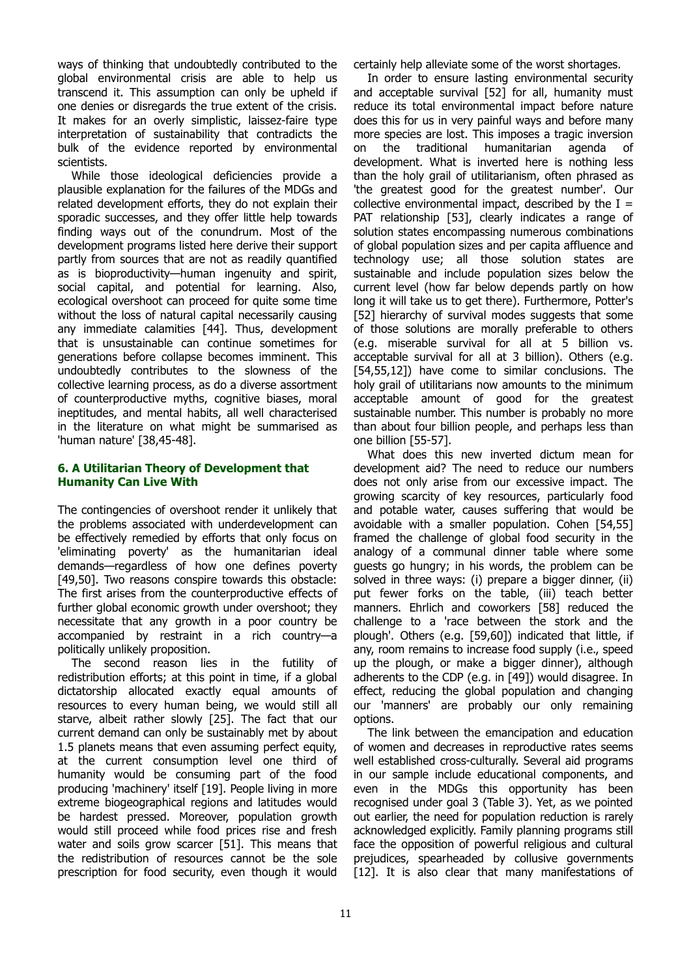ways of thinking that undoubtedly contributed to the global environmental crisis are able to help us transcend it. This assumption can only be upheld if one denies or disregards the true extent of the crisis. It makes for an overly simplistic, laissez-faire type interpretation of sustainability that contradicts the bulk of the evidence reported by environmental scientists.

While those ideological deficiencies provide a plausible explanation for the failures of the MDGs and related development efforts, they do not explain their sporadic successes, and they offer little help towards finding ways out of the conundrum. Most of the development programs listed here derive their support partly from sources that are not as readily quantified as is bioproductivity—human ingenuity and spirit, social capital, and potential for learning. Also, ecological overshoot can proceed for quite some time without the loss of natural capital necessarily causing any immediate calamities [44]. Thus, development that is unsustainable can continue sometimes for generations before collapse becomes imminent. This undoubtedly contributes to the slowness of the collective learning process, as do a diverse assortment of counterproductive myths, cognitive biases, moral ineptitudes, and mental habits, all well characterised in the literature on what might be summarised as 'human nature' [38,45-48].

#### **6. A Utilitarian Theory of Development that Humanity Can Live With**

The contingencies of overshoot render it unlikely that the problems associated with underdevelopment can be effectively remedied by efforts that only focus on 'eliminating poverty' as the humanitarian ideal demands—regardless of how one defines poverty [49,50]. Two reasons conspire towards this obstacle: The first arises from the counterproductive effects of further global economic growth under overshoot; they necessitate that any growth in a poor country be accompanied by restraint in a rich country—a politically unlikely proposition.

The second reason lies in the futility of redistribution efforts; at this point in time, if a global dictatorship allocated exactly equal amounts of resources to every human being, we would still all starve, albeit rather slowly [25]. The fact that our current demand can only be sustainably met by about 1.5 planets means that even assuming perfect equity, at the current consumption level one third of humanity would be consuming part of the food producing 'machinery' itself [19]. People living in more extreme biogeographical regions and latitudes would be hardest pressed. Moreover, population growth would still proceed while food prices rise and fresh water and soils grow scarcer [51]. This means that the redistribution of resources cannot be the sole prescription for food security, even though it would

certainly help alleviate some of the worst shortages.

In order to ensure lasting environmental security and acceptable survival [52] for all, humanity must reduce its total environmental impact before nature does this for us in very painful ways and before many more species are lost. This imposes a tragic inversion on the traditional humanitarian agenda of development. What is inverted here is nothing less than the holy grail of utilitarianism, often phrased as 'the greatest good for the greatest number'. Our collective environmental impact, described by the  $I =$ PAT relationship [53], clearly indicates a range of solution states encompassing numerous combinations of global population sizes and per capita affluence and technology use; all those solution states are sustainable and include population sizes below the current level (how far below depends partly on how long it will take us to get there). Furthermore, Potter's [52] hierarchy of survival modes suggests that some of those solutions are morally preferable to others (e.g. miserable survival for all at 5 billion vs. acceptable survival for all at 3 billion). Others (e.g. [54,55,12]) have come to similar conclusions. The holy grail of utilitarians now amounts to the minimum acceptable amount of good for the greatest sustainable number. This number is probably no more than about four billion people, and perhaps less than one billion [55-57].

What does this new inverted dictum mean for development aid? The need to reduce our numbers does not only arise from our excessive impact. The growing scarcity of key resources, particularly food and potable water, causes suffering that would be avoidable with a smaller population. Cohen [54,55] framed the challenge of global food security in the analogy of a communal dinner table where some guests go hungry; in his words, the problem can be solved in three ways: (i) prepare a bigger dinner, (ii) put fewer forks on the table, (iii) teach better manners. Ehrlich and coworkers [58] reduced the challenge to a 'race between the stork and the plough'. Others (e.g. [59,60]) indicated that little, if any, room remains to increase food supply (i.e., speed up the plough, or make a bigger dinner), although adherents to the CDP (e.g. in [49]) would disagree. In effect, reducing the global population and changing our 'manners' are probably our only remaining options.

The link between the emancipation and education of women and decreases in reproductive rates seems well established cross-culturally. Several aid programs in our sample include educational components, and even in the MDGs this opportunity has been recognised under goal 3 (Table 3). Yet, as we pointed out earlier, the need for population reduction is rarely acknowledged explicitly. Family planning programs still face the opposition of powerful religious and cultural prejudices, spearheaded by collusive governments [12]. It is also clear that many manifestations of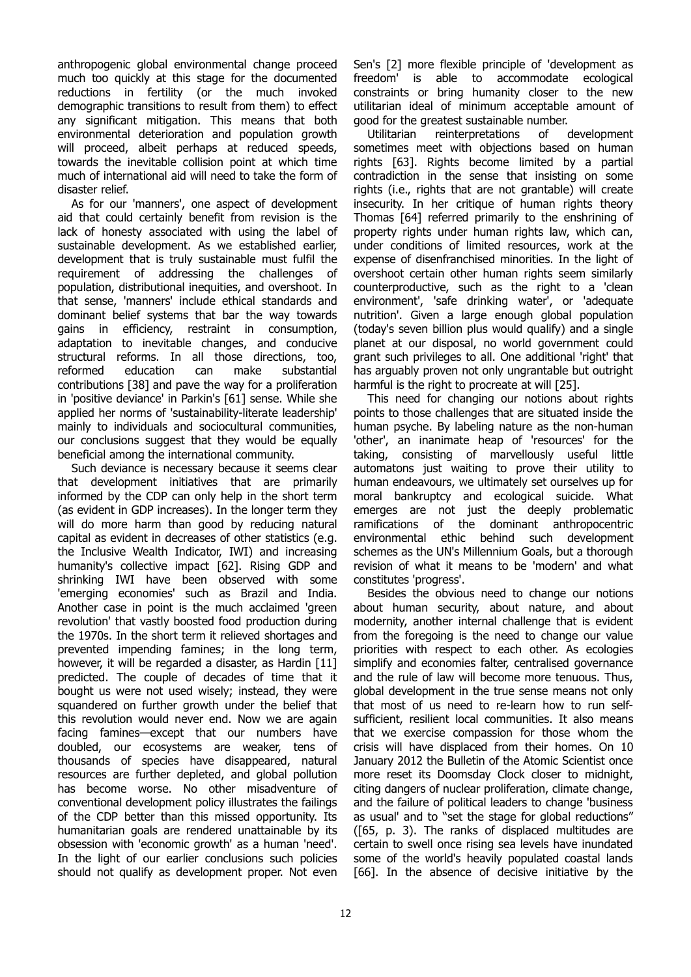anthropogenic global environmental change proceed much too quickly at this stage for the documented reductions in fertility (or the much invoked demographic transitions to result from them) to effect any significant mitigation. This means that both environmental deterioration and population growth will proceed, albeit perhaps at reduced speeds, towards the inevitable collision point at which time much of international aid will need to take the form of disaster relief.

As for our 'manners', one aspect of development aid that could certainly benefit from revision is the lack of honesty associated with using the label of sustainable development. As we established earlier, development that is truly sustainable must fulfil the requirement of addressing the challenges of population, distributional inequities, and overshoot. In that sense, 'manners' include ethical standards and dominant belief systems that bar the way towards gains in efficiency, restraint in consumption, adaptation to inevitable changes, and conducive structural reforms. In all those directions, too, reformed education can make substantial contributions [38] and pave the way for a proliferation in 'positive deviance' in Parkin's [61] sense. While she applied her norms of 'sustainability-literate leadership' mainly to individuals and sociocultural communities, our conclusions suggest that they would be equally beneficial among the international community.

Such deviance is necessary because it seems clear that development initiatives that are primarily informed by the CDP can only help in the short term (as evident in GDP increases). In the longer term they will do more harm than good by reducing natural capital as evident in decreases of other statistics (e.g. the Inclusive Wealth Indicator, IWI) and increasing humanity's collective impact [62]. Rising GDP and shrinking IWI have been observed with some 'emerging economies' such as Brazil and India. Another case in point is the much acclaimed 'green revolution' that vastly boosted food production during the 1970s. In the short term it relieved shortages and prevented impending famines; in the long term, however, it will be regarded a disaster, as Hardin [11] predicted. The couple of decades of time that it bought us were not used wisely; instead, they were squandered on further growth under the belief that this revolution would never end. Now we are again facing famines—except that our numbers have doubled, our ecosystems are weaker, tens of thousands of species have disappeared, natural resources are further depleted, and global pollution has become worse. No other misadventure of conventional development policy illustrates the failings of the CDP better than this missed opportunity. Its humanitarian goals are rendered unattainable by its obsession with 'economic growth' as a human 'need'. In the light of our earlier conclusions such policies should not qualify as development proper. Not even

Sen's [2] more flexible principle of 'development as freedom' is able to accommodate ecological constraints or bring humanity closer to the new utilitarian ideal of minimum acceptable amount of good for the greatest sustainable number.

Utilitarian reinterpretations of development sometimes meet with objections based on human rights [63]. Rights become limited by a partial contradiction in the sense that insisting on some rights (i.e., rights that are not grantable) will create insecurity. In her critique of human rights theory Thomas [64] referred primarily to the enshrining of property rights under human rights law, which can, under conditions of limited resources, work at the expense of disenfranchised minorities. In the light of overshoot certain other human rights seem similarly counterproductive, such as the right to a 'clean environment', 'safe drinking water', or 'adequate nutrition'. Given a large enough global population (today's seven billion plus would qualify) and a single planet at our disposal, no world government could grant such privileges to all. One additional 'right' that has arguably proven not only ungrantable but outright harmful is the right to procreate at will [25].

This need for changing our notions about rights points to those challenges that are situated inside the human psyche. By labeling nature as the non-human 'other', an inanimate heap of 'resources' for the taking, consisting of marvellously useful little automatons just waiting to prove their utility to human endeavours, we ultimately set ourselves up for moral bankruptcy and ecological suicide. What emerges are not just the deeply problematic ramifications of the dominant anthropocentric environmental ethic behind such development schemes as the UN's Millennium Goals, but a thorough revision of what it means to be 'modern' and what constitutes 'progress'.

Besides the obvious need to change our notions about human security, about nature, and about modernity, another internal challenge that is evident from the foregoing is the need to change our value priorities with respect to each other. As ecologies simplify and economies falter, centralised governance and the rule of law will become more tenuous. Thus, global development in the true sense means not only that most of us need to re-learn how to run selfsufficient, resilient local communities. It also means that we exercise compassion for those whom the crisis will have displaced from their homes. On 10 January 2012 the Bulletin of the Atomic Scientist once more reset its Doomsday Clock closer to midnight, citing dangers of nuclear proliferation, climate change, and the failure of political leaders to change 'business as usual' and to "set the stage for global reductions" ([65, p. 3). The ranks of displaced multitudes are certain to swell once rising sea levels have inundated some of the world's heavily populated coastal lands [66]. In the absence of decisive initiative by the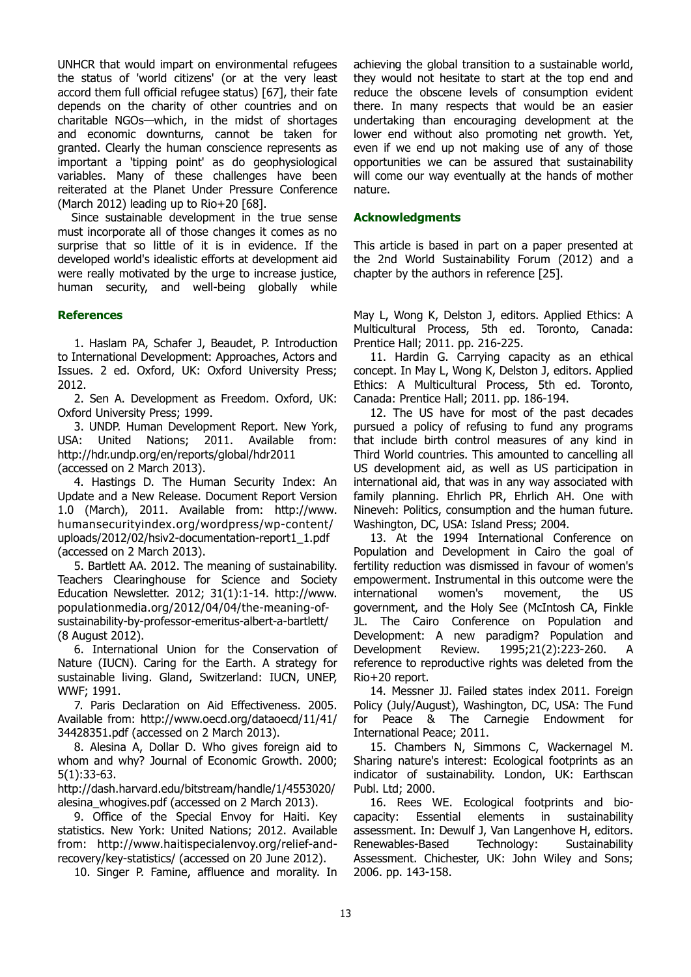UNHCR that would impart on environmental refugees the status of 'world citizens' (or at the very least accord them full official refugee status) [67], their fate depends on the charity of other countries and on charitable NGOs—which, in the midst of shortages and economic downturns, cannot be taken for granted. Clearly the human conscience represents as important a 'tipping point' as do geophysiological variables. Many of these challenges have been reiterated at the Planet Under Pressure Conference (March 2012) leading up to  $Rio+20$  [68].

Since sustainable development in the true sense must incorporate all of those changes it comes as no surprise that so little of it is in evidence. If the developed world's idealistic efforts at development aid were really motivated by the urge to increase justice, human security, and well-being globally while

#### **References**

1. Haslam PA, Schafer J, Beaudet, P. Introduction to International Development: Approaches, Actors and Issues. 2 ed. Oxford, UK: Oxford University Press; 2012.

2. Sen A. Development as Freedom. Oxford, UK: Oxford University Press; 1999.

3. UNDP. Human Development Report. New York, USA: United Nations; 2011. Available from: http://hdr.undp.org/en/reports/global/hdr2011 (accessed on 2 March 2013).

4. Hastings D. The Human Security Index: An Update and a New Release. Document Report Version 1.0 (March), 2011. Available from: http://www. humansecurityindex.org/wordpress/wp-content/ uploads/2012/02/hsiv2-documentation-report1\_1.pdf (accessed on 2 March 2013).

5. Bartlett AA. 2012. The meaning of sustainability. Teachers Clearinghouse for Science and Society Education Newsletter. 2012; 31(1):1-14. http://www. populationmedia.org/2012/04/04/the-meaning-ofsustainability-by-professor-emeritus-albert-a-bartlett/ (8 August 2012).

6. International Union for the Conservation of Nature (IUCN). Caring for the Earth. A strategy for sustainable living. Gland, Switzerland: IUCN, UNEP, WWF; 1991.

7. Paris Declaration on Aid Effectiveness. 2005. Available from: http://www.oecd.org/dataoecd/11/41/ 34428351.pdf (accessed on 2 March 2013).

8. Alesina A, Dollar D. Who gives foreign aid to whom and why? Journal of Economic Growth. 2000; 5(1):33-63.

http://dash.harvard.edu/bitstream/handle/1/4553020/ alesina\_whogives.pdf (accessed on 2 March 2013).

9. Office of the Special Envoy for Haiti. Key statistics. New York: United Nations; 2012. Available from: http://www.haitispecialenvoy.org/relief-andrecovery/key-statistics/ (accessed on 20 June 2012).

10. Singer P. Famine, affluence and morality. In

achieving the global transition to a sustainable world, they would not hesitate to start at the top end and reduce the obscene levels of consumption evident there. In many respects that would be an easier undertaking than encouraging development at the lower end without also promoting net growth. Yet, even if we end up not making use of any of those opportunities we can be assured that sustainability will come our way eventually at the hands of mother nature.

#### **Acknowledgments**

This article is based in part on a paper presented at the 2nd World Sustainability Forum (2012) and a chapter by the authors in reference [25].

May L, Wong K, Delston J, editors. Applied Ethics: A Multicultural Process, 5th ed. Toronto, Canada: Prentice Hall; 2011. pp. 216-225.

11. Hardin G. Carrying capacity as an ethical concept. In May L, Wong K, Delston J, editors. Applied Ethics: A Multicultural Process, 5th ed. Toronto, Canada: Prentice Hall; 2011. pp. 186-194.

12. The US have for most of the past decades pursued a policy of refusing to fund any programs that include birth control measures of any kind in Third World countries. This amounted to cancelling all US development aid, as well as US participation in international aid, that was in any way associated with family planning. Ehrlich PR, Ehrlich AH. One with Nineveh: Politics, consumption and the human future. Washington, DC, USA: Island Press; 2004.

13. At the 1994 International Conference on Population and Development in Cairo the goal of fertility reduction was dismissed in favour of women's empowerment. Instrumental in this outcome were the international women's movement, the US government, and the Holy See (McIntosh CA, Finkle JL. The Cairo Conference on Population and Development: A new paradigm? Population and Development Review. 1995;21(2):223-260. A reference to reproductive rights was deleted from the Rio+20 report.

14. Messner JJ. Failed states index 2011. Foreign Policy (July/August), Washington, DC, USA: The Fund for Peace & The Carnegie Endowment for International Peace; 2011.

15. Chambers N, Simmons C, Wackernagel M. Sharing nature's interest: Ecological footprints as an indicator of sustainability. London, UK: Earthscan Publ. Ltd; 2000.

16. Rees WE. Ecological footprints and biocapacity: Essential elements in sustainability assessment. In: Dewulf J, Van Langenhove H, editors. Renewables-Based Technology: Sustainability Assessment. Chichester, UK: John Wiley and Sons; 2006. pp. 143-158.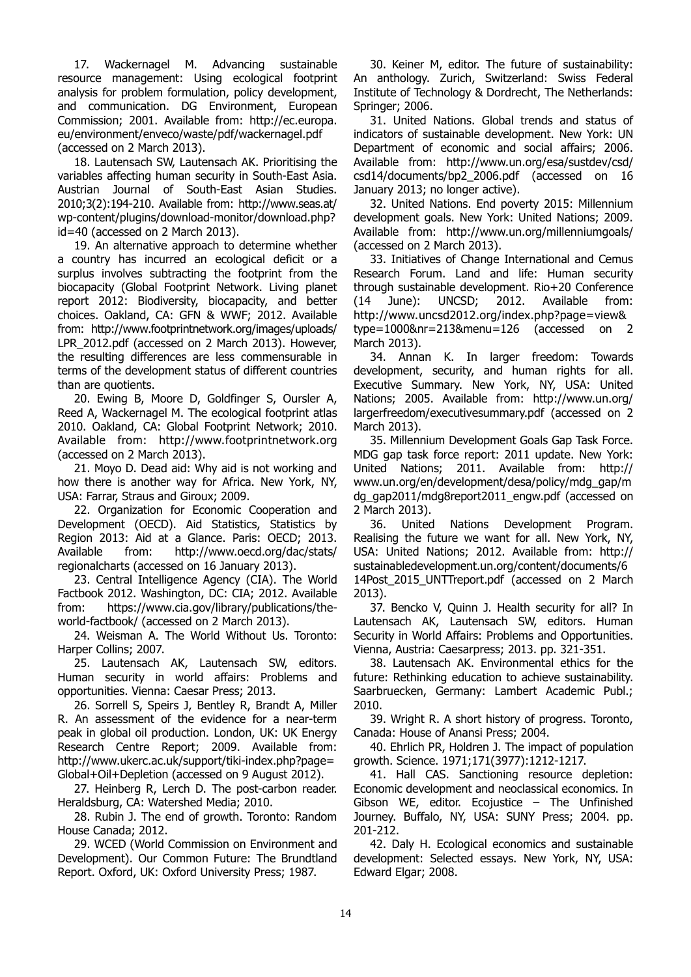17. Wackernagel M. Advancing sustainable resource management: Using ecological footprint analysis for problem formulation, policy development, and communication. DG Environment, European Commission; 2001. Available from: http://ec.europa. eu/environment/enveco/waste/pdf/wackernagel.pdf (accessed on 2 March 2013).

18. Lautensach SW, Lautensach AK. Prioritising the variables affecting human security in South-East Asia. Austrian Journal of South-East Asian Studies. 2010;3(2):194-210. Available from: http://www.seas.at/ wp-content/plugins/download-monitor/download.php? id=40 (accessed on 2 March 2013).

19. An alternative approach to determine whether a country has incurred an ecological deficit or a surplus involves subtracting the footprint from the biocapacity (Global Footprint Network. Living planet report 2012: Biodiversity, biocapacity, and better choices. Oakland, CA: GFN & WWF; 2012. Available from: http://www.footprintnetwork.org/images/uploads/ LPR\_2012.pdf (accessed on 2 March 2013). However, the resulting differences are less commensurable in terms of the development status of different countries than are quotients.

20. Ewing B, Moore D, Goldfinger S, Oursler A, Reed A, Wackernagel M. The ecological footprint atlas 2010. Oakland, CA: Global Footprint Network; 2010. Available from: http://www.footprintnetwork.org (accessed on 2 March 2013).

21. Moyo D. Dead aid: Why aid is not working and how there is another way for Africa. New York, NY, USA: Farrar, Straus and Giroux; 2009.

22. Organization for Economic Cooperation and Development (OECD). Aid Statistics, Statistics by Region 2013: Aid at a Glance. Paris: OECD; 2013. Available from: http://www.oecd.org/dac/stats/ regionalcharts (accessed on 16 January 2013).

23. Central Intelligence Agency (CIA). The World Factbook 2012. Washington, DC: CIA; 2012. Available from: https://www.cia.gov/library/publications/theworld-factbook/ (accessed on 2 March 2013).

24. Weisman A. The World Without Us. Toronto: Harper Collins; 2007.

25. Lautensach AK, Lautensach SW, editors. Human security in world affairs: Problems and opportunities. Vienna: Caesar Press; 2013.

26. Sorrell S, Speirs J, Bentley R, Brandt A, Miller R. An assessment of the evidence for a near-term peak in global oil production. London, UK: UK Energy Research Centre Report; 2009. Available from: http://www.ukerc.ac.uk/support/tiki-index.php?page= Global+Oil+Depletion (accessed on 9 August 2012).

27. Heinberg R, Lerch D. The post-carbon reader. Heraldsburg, CA: Watershed Media; 2010.

28. Rubin J. The end of growth. Toronto: Random House Canada; 2012.

29. WCED (World Commission on Environment and Development). Our Common Future: The Brundtland Report. Oxford, UK: Oxford University Press; 1987.

30. Keiner M, editor. The future of sustainability: An anthology. Zurich, Switzerland: Swiss Federal Institute of Technology & Dordrecht, The Netherlands: Springer; 2006.

31. United Nations. Global trends and status of indicators of sustainable development. New York: UN Department of economic and social affairs; 2006. Available from: http://www.un.org/esa/sustdev/csd/ csd14/documents/bp2\_2006.pdf (accessed on 16 January 2013; no longer active).

32. United Nations. End poverty 2015: Millennium development goals. New York: United Nations; 2009. Available from: http://www.un.org/millenniumgoals/ (accessed on 2 March 2013).

33. Initiatives of Change International and Cemus Research Forum. Land and life: Human security through sustainable development. Rio+20 Conference (14 June): UNCSD; 2012. Available from: http://www.uncsd2012.org/index.php?page=view& type=1000&nr=213&menu=126 (accessed on 2 March 2013).

34. Annan K. In larger freedom: Towards development, security, and human rights for all. Executive Summary. New York, NY, USA: United Nations; 2005. Available from: http://www.un.org/ largerfreedom/executivesummary.pdf (accessed on 2 March 2013).

35. Millennium Development Goals Gap Task Force. MDG gap task force report: 2011 update. New York: United Nations; 2011. Available from: http:// www.un.org/en/development/desa/policy/mdg\_gap/m dg\_gap2011/mdg8report2011\_engw.pdf (accessed on 2 March 2013).

36. United Nations Development Program. Realising the future we want for all. New York, NY, USA: United Nations; 2012. Available from: http:// sustainabledevelopment.un.org/content/documents/6 14Post 2015 UNTTreport.pdf (accessed on 2 March 2013).

37. Bencko V, Quinn J. Health security for all? In Lautensach AK, Lautensach SW, editors. Human Security in World Affairs: Problems and Opportunities. Vienna, Austria: Caesarpress; 2013. pp. 321-351.

38. Lautensach AK. Environmental ethics for the future: Rethinking education to achieve sustainability. Saarbruecken, Germany: Lambert Academic Publ.; 2010.

39. Wright R. A short history of progress. Toronto, Canada: House of Anansi Press; 2004.

40. Ehrlich PR, Holdren J. The impact of population growth. Science. 1971;171(3977):1212-1217.

41. Hall CAS. Sanctioning resource depletion: Economic development and neoclassical economics. In Gibson WE, editor. Ecojustice – The Unfinished Journey. Buffalo, NY, USA: SUNY Press; 2004. pp. 201-212.

42. Daly H. Ecological economics and sustainable development: Selected essays. New York, NY, USA: Edward Elgar; 2008.